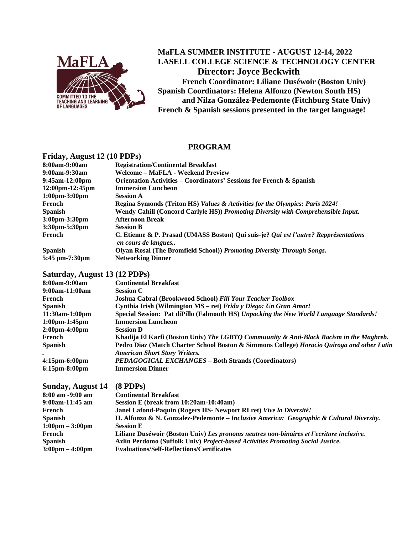

# **MaFLA SUMMER INSTITUTE - AUGUST 12-14, 2022 LASELL COLLEGE SCIENCE & TECHNOLOGY CENTER Director: Joyce Beckwith French Coordinator: Liliane Duséwoir (Boston Univ) Spanish Coordinators: Helena Alfonzo (Newton South HS) and Nilza González-Pedemonte (Fitchburg State Univ)**

**French & Spanish sessions presented in the target language!**

## **PROGRAM**

### **Friday, August 12 (10 PDPs)**

| 11100, 11050, 12010, 1910         |                                                                                                             |  |  |
|-----------------------------------|-------------------------------------------------------------------------------------------------------------|--|--|
| 8:00am-9:00am                     | <b>Registration/Continental Breakfast</b>                                                                   |  |  |
| 9:00am-9:30am                     | Welcome – MaFLA - Weekend Preview                                                                           |  |  |
| 9:45am-12:00pm                    | Orientation Activities – Coordinators' Sessions for French & Spanish                                        |  |  |
| 12:00pm-12:45pm                   | <b>Immersion Luncheon</b>                                                                                   |  |  |
| $1:00 \text{pm} - 3:00 \text{pm}$ | <b>Session A</b>                                                                                            |  |  |
| French                            | Regina Symonds (Triton HS) Values & Activities for the Olympics: Paris 2024!                                |  |  |
| Spanish                           | Wendy Cahill (Concord Carlyle HS)) Promoting Diversity with Comprehensible Input.                           |  |  |
| 3:00pm-3:30pm                     | <b>Afternoon Break</b>                                                                                      |  |  |
| $3:30pm - 5:30pm$                 | <b>Session B</b>                                                                                            |  |  |
| French                            | C. Etienne & P. Prasad (UMASS Boston) Qui suis-je? Qui est l'autre? Repprésentations<br>en cours de langues |  |  |
| <b>Spanish</b>                    | Olyan Rosal (The Bromfield School)) Promoting Diversity Through Songs.                                      |  |  |
| 5:45 pm-7:30pm                    | <b>Networking Dinner</b>                                                                                    |  |  |
|                                   |                                                                                                             |  |  |

#### **Saturday, August 13 (12 PDPs)**

| <b>Continental Breakfast</b>                                                                                                       |
|------------------------------------------------------------------------------------------------------------------------------------|
| <b>Session C</b>                                                                                                                   |
| <b>Joshua Cabral (Brookwood School) Fill Your Teacher Toolbox</b>                                                                  |
| Cynthia Irish (Wilmington MS – ret) Frida y Diego: Un Gran Amor!                                                                   |
| Special Session: Pat diPillo (Falmouth HS) Unpacking the New World Language Standards!                                             |
| <b>Immersion Luncheon</b>                                                                                                          |
| <b>Session D</b>                                                                                                                   |
| Khadija El Karfi (Boston Univ) The LGBTQ Commuunity & Anti-Black Racism in the Maghreb.                                            |
| Pedro Diaz (Match Charter School Boston & Simmons College) Horacio Quiroga and other Latin<br><b>American Short Story Writers.</b> |
| <b>PEDAGOGICAL EXCHANGES – Both Strands (Coordinators)</b>                                                                         |
| <b>Immersion Dinner</b>                                                                                                            |
|                                                                                                                                    |

| Sunday, August 14                 | $(8$ PDPs)                                                                               |
|-----------------------------------|------------------------------------------------------------------------------------------|
| $8:00$ am $-9:00$ am              | <b>Continental Breakfast</b>                                                             |
| $9:00am-11:45am$                  | Session E (break from 10:20am-10:40am)                                                   |
| French                            | Janel Lafond-Paquin (Rogers HS- Newport RI ret) Vive la Diversité!                       |
| <b>Spanish</b>                    | H. Alfonzo & N. Gonzalez-Pedemonte – Inclusive America: Geographic & Cultural Diversity. |
| $1:00 \text{pm} - 3:00 \text{pm}$ | <b>Session E</b>                                                                         |
| French                            | Liliane Duséwoir (Boston Univ) Les pronoms neutres non-binaires et l'ecriture inclusive. |
| <b>Spanish</b>                    | Azlin Perdomo (Suffolk Univ) Project-based Activities Promoting Social Justice.          |
| $3:00 \text{pm} - 4:00 \text{pm}$ | <b>Evaluations/Self-Reflections/Certificates</b>                                         |